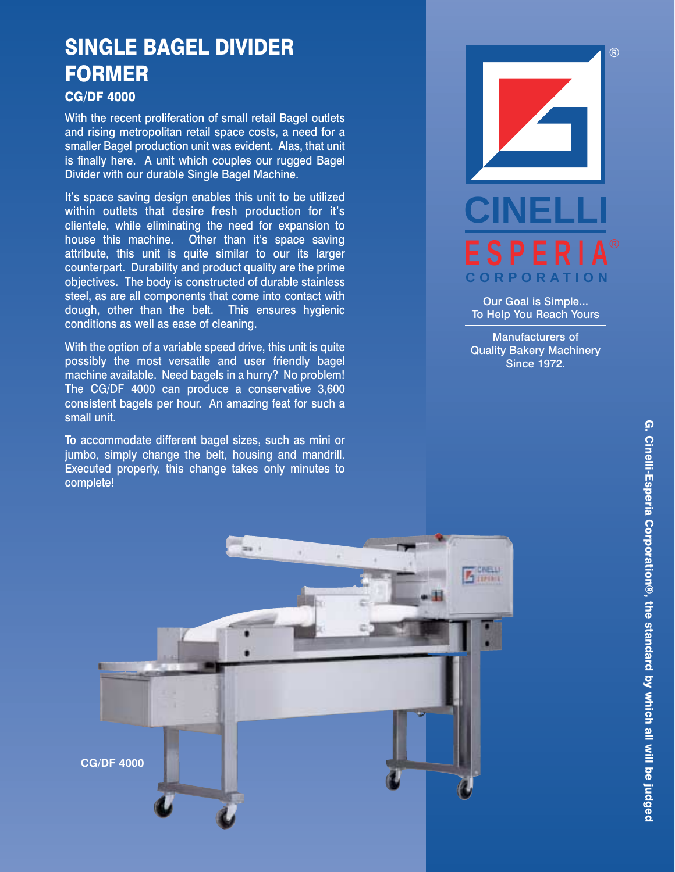## SINGLE BAGEL DIVIDER FORMER

## CG/DF 4000

With the recent proliferation of small retail Bagel outlets and rising metropolitan retail space costs, a need for a smaller Bagel production unit was evident. Alas, that unit is finally here. A unit which couples our rugged Bagel Divider with our durable Single Bagel Machine.

It's space saving design enables this unit to be utilized within outlets that desire fresh production for it's clientele, while eliminating the need for expansion to house this machine. Other than it's space saving attribute, this unit is quite similar to our its larger counterpart. Durability and product quality are the prime objectives. The body is constructed of durable stainless steel, as are all components that come into contact with dough, other than the belt. This ensures hygienic conditions as well as ease of cleaning.

With the option of a variable speed drive, this unit is quite possibly the most versatile and user friendly bagel machine available. Need bagels in a hurry? No problem! The CG/DF 4000 can produce a conservative 3,600 consistent bagels per hour. An amazing feat for such a small unit.

To accommodate different bagel sizes, such as mini or jumbo, simply change the belt, housing and mandrill. Executed properly, this change takes only minutes to complete!



Our Goal is Simple... To Help You Reach Yours

Manufacturers of Quality Bakery Machinery Since 1972.